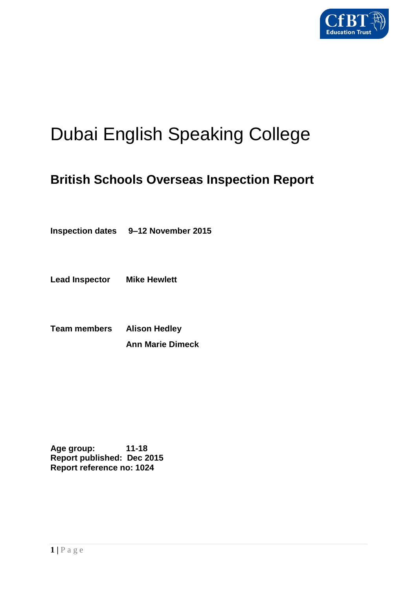

# Dubai English Speaking College

# **British Schools Overseas Inspection Report**

**Inspection dates 9–12 November 2015**

**Lead Inspector Mike Hewlett**

**Team members Alison Hedley Ann Marie Dimeck**

**Age group: 11-18 Report published: Dec 2015 Report reference no: 1024**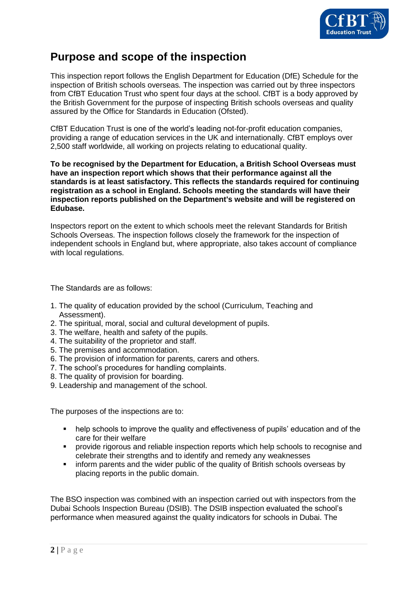

# **Purpose and scope of the inspection**

This inspection report follows the English Department for Education (DfE) Schedule for the inspection of British schools overseas*.* The inspection was carried out by three inspectors from CfBT Education Trust who spent four days at the school. CfBT is a body approved by the British Government for the purpose of inspecting British schools overseas and quality assured by the Office for Standards in Education (Ofsted).

CfBT Education Trust is one of the world's leading not-for-profit education companies, providing a range of education services in the UK and internationally. CfBT employs over 2,500 staff worldwide, all working on projects relating to educational quality.

**To be recognised by the Department for Education, a British School Overseas must have an inspection report which shows that their performance against all the standards is at least satisfactory. This reflects the standards required for continuing registration as a school in England. Schools meeting the standards will have their inspection reports published on the Department's website and will be registered on Edubase.** 

Inspectors report on the extent to which schools meet the relevant Standards for British Schools Overseas. The inspection follows closely the framework for the inspection of independent schools in England but, where appropriate, also takes account of compliance with local regulations.

The Standards are as follows:

- 1. The quality of education provided by the school (Curriculum, Teaching and Assessment).
- 2. The spiritual, moral, social and cultural development of pupils.
- 3. The welfare, health and safety of the pupils.
- 4. The suitability of the proprietor and staff.
- 5. The premises and accommodation.
- 6. The provision of information for parents, carers and others.
- 7. The school's procedures for handling complaints.
- 8. The quality of provision for boarding.
- 9. Leadership and management of the school.

The purposes of the inspections are to:

- help schools to improve the quality and effectiveness of pupils' education and of the care for their welfare
- **•** provide rigorous and reliable inspection reports which help schools to recognise and celebrate their strengths and to identify and remedy any weaknesses
- inform parents and the wider public of the quality of British schools overseas by placing reports in the public domain.

The BSO inspection was combined with an inspection carried out with inspectors from the Dubai Schools Inspection Bureau (DSIB). The DSIB inspection evaluated the school's performance when measured against the quality indicators for schools in Dubai. The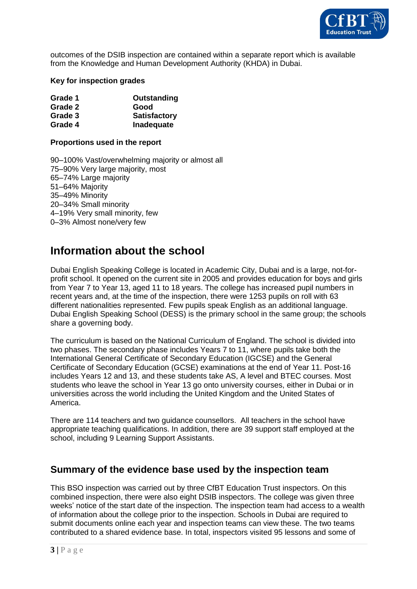

outcomes of the DSIB inspection are contained within a separate report which is available from the Knowledge and Human Development Authority (KHDA) in Dubai.

#### **Key for inspection grades**

| Grade 1 | Outstanding         |
|---------|---------------------|
| Grade 2 | Good                |
| Grade 3 | <b>Satisfactory</b> |
| Grade 4 | Inadequate          |

#### **Proportions used in the report**

90–100% Vast/overwhelming majority or almost all 75–90% Very large majority, most 65–74% Large majority 51–64% Majority 35–49% Minority 20–34% Small minority 4–19% Very small minority, few 0–3% Almost none/very few

# **Information about the school**

Dubai English Speaking College is located in Academic City, Dubai and is a large, not-forprofit school. It opened on the current site in 2005 and provides education for boys and girls from Year 7 to Year 13, aged 11 to 18 years. The college has increased pupil numbers in recent years and, at the time of the inspection, there were 1253 pupils on roll with 63 different nationalities represented. Few pupils speak English as an additional language. Dubai English Speaking School (DESS) is the primary school in the same group; the schools share a governing body.

The curriculum is based on the National Curriculum of England. The school is divided into two phases. The secondary phase includes Years 7 to 11, where pupils take both the International General Certificate of Secondary Education (IGCSE) and the General Certificate of Secondary Education (GCSE) examinations at the end of Year 11. Post-16 includes Years 12 and 13, and these students take AS, A level and BTEC courses. Most students who leave the school in Year 13 go onto university courses, either in Dubai or in universities across the world including the United Kingdom and the United States of America.

There are 114 teachers and two guidance counsellors. All teachers in the school have appropriate teaching qualifications. In addition, there are 39 support staff employed at the school, including 9 Learning Support Assistants.

#### **Summary of the evidence base used by the inspection team**

This BSO inspection was carried out by three CfBT Education Trust inspectors. On this combined inspection, there were also eight DSIB inspectors. The college was given three weeks' notice of the start date of the inspection. The inspection team had access to a wealth of information about the college prior to the inspection. Schools in Dubai are required to submit documents online each year and inspection teams can view these. The two teams contributed to a shared evidence base. In total, inspectors visited 95 lessons and some of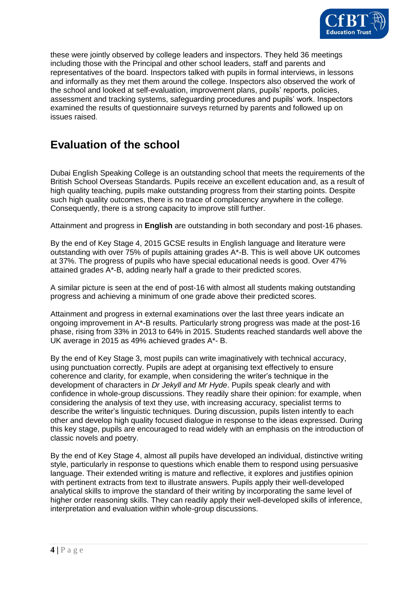

these were jointly observed by college leaders and inspectors. They held 36 meetings including those with the Principal and other school leaders, staff and parents and representatives of the board. Inspectors talked with pupils in formal interviews, in lessons and informally as they met them around the college. Inspectors also observed the work of the school and looked at self-evaluation, improvement plans, pupils' reports, policies, assessment and tracking systems, safeguarding procedures and pupils' work. Inspectors examined the results of questionnaire surveys returned by parents and followed up on issues raised.

# **Evaluation of the school**

Dubai English Speaking College is an outstanding school that meets the requirements of the British School Overseas Standards. Pupils receive an excellent education and, as a result of high quality teaching, pupils make outstanding progress from their starting points. Despite such high quality outcomes, there is no trace of complacency anywhere in the college. Consequently, there is a strong capacity to improve still further.

Attainment and progress in **English** are outstanding in both secondary and post-16 phases.

By the end of Key Stage 4, 2015 GCSE results in English language and literature were outstanding with over 75% of pupils attaining grades A\*-B. This is well above UK outcomes at 37%. The progress of pupils who have special educational needs is good. Over 47% attained grades A\*-B, adding nearly half a grade to their predicted scores.

A similar picture is seen at the end of post-16 with almost all students making outstanding progress and achieving a minimum of one grade above their predicted scores.

Attainment and progress in external examinations over the last three years indicate an ongoing improvement in A\*-B results. Particularly strong progress was made at the post-16 phase, rising from 33% in 2013 to 64% in 2015. Students reached standards well above the UK average in 2015 as 49% achieved grades A\*- B.

By the end of Key Stage 3, most pupils can write imaginatively with technical accuracy, using punctuation correctly. Pupils are adept at organising text effectively to ensure coherence and clarity, for example, when considering the writer's technique in the development of characters in *Dr Jekyll and Mr Hyde*. Pupils speak clearly and with confidence in whole-group discussions. They readily share their opinion: for example, when considering the analysis of text they use, with increasing accuracy, specialist terms to describe the writer's linguistic techniques. During discussion, pupils listen intently to each other and develop high quality focused dialogue in response to the ideas expressed. During this key stage, pupils are encouraged to read widely with an emphasis on the introduction of classic novels and poetry.

By the end of Key Stage 4, almost all pupils have developed an individual, distinctive writing style, particularly in response to questions which enable them to respond using persuasive language. Their extended writing is mature and reflective, it explores and justifies opinion with pertinent extracts from text to illustrate answers. Pupils apply their well-developed analytical skills to improve the standard of their writing by incorporating the same level of higher order reasoning skills. They can readily apply their well-developed skills of inference, interpretation and evaluation within whole-group discussions.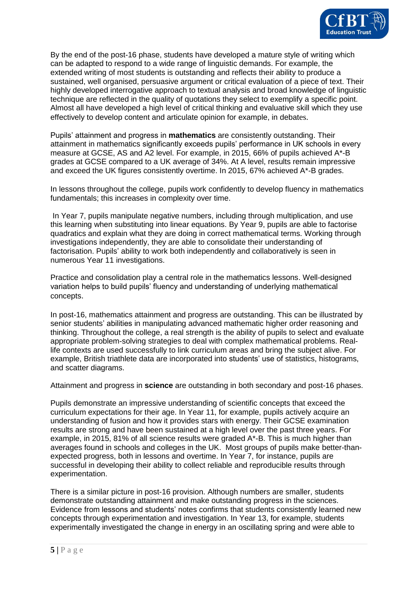

By the end of the post-16 phase, students have developed a mature style of writing which can be adapted to respond to a wide range of linguistic demands. For example, the extended writing of most students is outstanding and reflects their ability to produce a sustained, well organised, persuasive argument or critical evaluation of a piece of text. Their highly developed interrogative approach to textual analysis and broad knowledge of linguistic technique are reflected in the quality of quotations they select to exemplify a specific point. Almost all have developed a high level of critical thinking and evaluative skill which they use effectively to develop content and articulate opinion for example, in debates.

Pupils' attainment and progress in **mathematics** are consistently outstanding. Their attainment in mathematics significantly exceeds pupils' performance in UK schools in every measure at GCSE, AS and A2 level. For example, in 2015, 66% of pupils achieved A\*-B grades at GCSE compared to a UK average of 34%. At A level, results remain impressive and exceed the UK figures consistently overtime. In 2015, 67% achieved A\*-B grades.

In lessons throughout the college, pupils work confidently to develop fluency in mathematics fundamentals; this increases in complexity over time.

In Year 7, pupils manipulate negative numbers, including through multiplication, and use this learning when substituting into linear equations. By Year 9, pupils are able to factorise quadratics and explain what they are doing in correct mathematical terms. Working through investigations independently, they are able to consolidate their understanding of factorisation. Pupils' ability to work both independently and collaboratively is seen in numerous Year 11 investigations.

Practice and consolidation play a central role in the mathematics lessons. Well-designed variation helps to build pupils' fluency and understanding of underlying mathematical concepts.

In post-16, mathematics attainment and progress are outstanding. This can be illustrated by senior students' abilities in manipulating advanced mathematic higher order reasoning and thinking. Throughout the college, a real strength is the ability of pupils to select and evaluate appropriate problem-solving strategies to deal with complex mathematical problems. Reallife contexts are used successfully to link curriculum areas and bring the subject alive. For example, British triathlete data are incorporated into students' use of statistics, histograms, and scatter diagrams.

Attainment and progress in **science** are outstanding in both secondary and post-16 phases.

Pupils demonstrate an impressive understanding of scientific concepts that exceed the curriculum expectations for their age. In Year 11, for example, pupils actively acquire an understanding of fusion and how it provides stars with energy. Their GCSE examination results are strong and have been sustained at a high level over the past three years. For example, in 2015, 81% of all science results were graded A\*-B. This is much higher than averages found in schools and colleges in the UK. Most groups of pupils make better-thanexpected progress, both in lessons and overtime. In Year 7, for instance, pupils are successful in developing their ability to collect reliable and reproducible results through experimentation.

There is a similar picture in post-16 provision. Although numbers are smaller, students demonstrate outstanding attainment and make outstanding progress in the sciences. Evidence from lessons and students' notes confirms that students consistently learned new concepts through experimentation and investigation. In Year 13, for example, students experimentally investigated the change in energy in an oscillating spring and were able to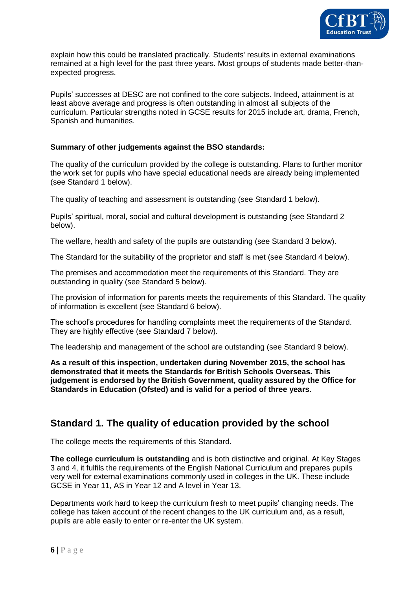

explain how this could be translated practically. Students' results in external examinations remained at a high level for the past three years. Most groups of students made better-thanexpected progress.

Pupils' successes at DESC are not confined to the core subjects. Indeed, attainment is at least above average and progress is often outstanding in almost all subjects of the curriculum. Particular strengths noted in GCSE results for 2015 include art, drama, French, Spanish and humanities.

#### **Summary of other judgements against the BSO standards:**

The quality of the curriculum provided by the college is outstanding. Plans to further monitor the work set for pupils who have special educational needs are already being implemented (see Standard 1 below).

The quality of teaching and assessment is outstanding (see Standard 1 below).

Pupils' spiritual, moral, social and cultural development is outstanding (see Standard 2 below).

The welfare, health and safety of the pupils are outstanding (see Standard 3 below).

The Standard for the suitability of the proprietor and staff is met (see Standard 4 below).

The premises and accommodation meet the requirements of this Standard. They are outstanding in quality (see Standard 5 below).

The provision of information for parents meets the requirements of this Standard. The quality of information is excellent (see Standard 6 below).

The school's procedures for handling complaints meet the requirements of the Standard. They are highly effective (see Standard 7 below).

The leadership and management of the school are outstanding (see Standard 9 below).

**As a result of this inspection, undertaken during November 2015, the school has demonstrated that it meets the Standards for British Schools Overseas. This judgement is endorsed by the British Government, quality assured by the Office for Standards in Education (Ofsted) and is valid for a period of three years.** 

#### **Standard 1. The quality of education provided by the school**

The college meets the requirements of this Standard.

**The college curriculum is outstanding** and is both distinctive and original. At Key Stages 3 and 4, it fulfils the requirements of the English National Curriculum and prepares pupils very well for external examinations commonly used in colleges in the UK. These include GCSE in Year 11, AS in Year 12 and A level in Year 13.

Departments work hard to keep the curriculum fresh to meet pupils' changing needs. The college has taken account of the recent changes to the UK curriculum and, as a result, pupils are able easily to enter or re-enter the UK system.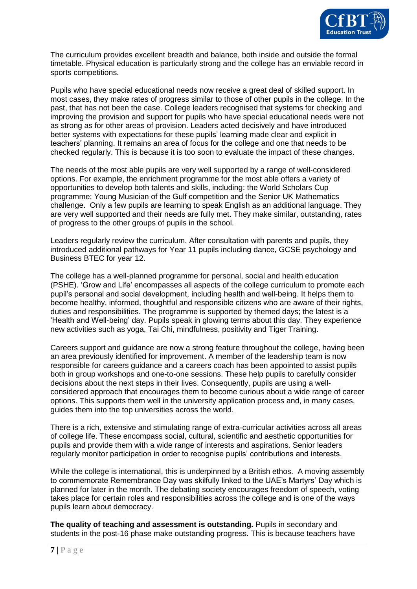

The curriculum provides excellent breadth and balance, both inside and outside the formal timetable. Physical education is particularly strong and the college has an enviable record in sports competitions.

Pupils who have special educational needs now receive a great deal of skilled support. In most cases, they make rates of progress similar to those of other pupils in the college. In the past, that has not been the case. College leaders recognised that systems for checking and improving the provision and support for pupils who have special educational needs were not as strong as for other areas of provision. Leaders acted decisively and have introduced better systems with expectations for these pupils' learning made clear and explicit in teachers' planning. It remains an area of focus for the college and one that needs to be checked regularly. This is because it is too soon to evaluate the impact of these changes.

The needs of the most able pupils are very well supported by a range of well-considered options. For example, the enrichment programme for the most able offers a variety of opportunities to develop both talents and skills, including: the World Scholars Cup programme; Young Musician of the Gulf competition and the Senior UK Mathematics challenge. Only a few pupils are learning to speak English as an additional language. They are very well supported and their needs are fully met. They make similar, outstanding, rates of progress to the other groups of pupils in the school.

Leaders regularly review the curriculum. After consultation with parents and pupils, they introduced additional pathways for Year 11 pupils including dance, GCSE psychology and Business BTEC for year 12.

The college has a well-planned programme for personal, social and health education (PSHE). 'Grow and Life' encompasses all aspects of the college curriculum to promote each pupil's personal and social development, including health and well-being. It helps them to become healthy, informed, thoughtful and responsible citizens who are aware of their rights, duties and responsibilities. The programme is supported by themed days; the latest is a 'Health and Well-being' day. Pupils speak in glowing terms about this day. They experience new activities such as yoga, Tai Chi, mindfulness, positivity and Tiger Training.

Careers support and guidance are now a strong feature throughout the college, having been an area previously identified for improvement. A member of the leadership team is now responsible for careers guidance and a careers coach has been appointed to assist pupils both in group workshops and one-to-one sessions. These help pupils to carefully consider decisions about the next steps in their lives. Consequently, pupils are using a wellconsidered approach that encourages them to become curious about a wide range of career options. This supports them well in the university application process and, in many cases, guides them into the top universities across the world.

There is a rich, extensive and stimulating range of extra-curricular activities across all areas of college life. These encompass social, cultural, scientific and aesthetic opportunities for pupils and provide them with a wide range of interests and aspirations. Senior leaders regularly monitor participation in order to recognise pupils' contributions and interests.

While the college is international, this is underpinned by a British ethos. A moving assembly to commemorate Remembrance Day was skilfully linked to the UAE's Martyrs' Day which is planned for later in the month. The debating society encourages freedom of speech, voting takes place for certain roles and responsibilities across the college and is one of the ways pupils learn about democracy.

**The quality of teaching and assessment is outstanding.** Pupils in secondary and students in the post-16 phase make outstanding progress. This is because teachers have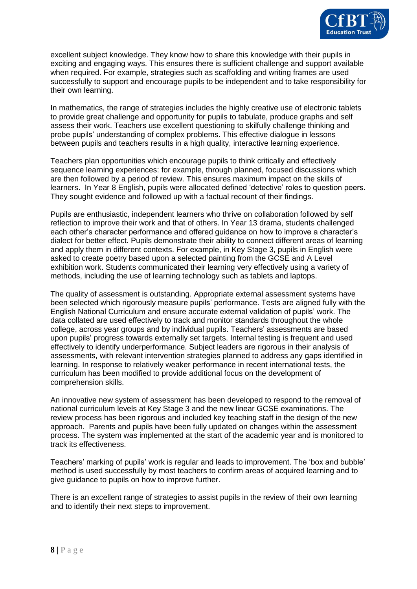

excellent subject knowledge. They know how to share this knowledge with their pupils in exciting and engaging ways. This ensures there is sufficient challenge and support available when required. For example, strategies such as scaffolding and writing frames are used successfully to support and encourage pupils to be independent and to take responsibility for their own learning.

In mathematics, the range of strategies includes the highly creative use of electronic tablets to provide great challenge and opportunity for pupils to tabulate, produce graphs and self assess their work. Teachers use excellent questioning to skilfully challenge thinking and probe pupils' understanding of complex problems. This effective dialogue in lessons between pupils and teachers results in a high quality, interactive learning experience.

Teachers plan opportunities which encourage pupils to think critically and effectively sequence learning experiences: for example, through planned, focused discussions which are then followed by a period of review. This ensures maximum impact on the skills of learners. In Year 8 English, pupils were allocated defined 'detective' roles to question peers. They sought evidence and followed up with a factual recount of their findings.

Pupils are enthusiastic, independent learners who thrive on collaboration followed by self reflection to improve their work and that of others. In Year 13 drama, students challenged each other's character performance and offered guidance on how to improve a character's dialect for better effect. Pupils demonstrate their ability to connect different areas of learning and apply them in different contexts. For example, in Key Stage 3, pupils in English were asked to create poetry based upon a selected painting from the GCSE and A Level exhibition work. Students communicated their learning very effectively using a variety of methods, including the use of learning technology such as tablets and laptops.

The quality of assessment is outstanding. Appropriate external assessment systems have been selected which rigorously measure pupils' performance. Tests are aligned fully with the English National Curriculum and ensure accurate external validation of pupils' work. The data collated are used effectively to track and monitor standards throughout the whole college, across year groups and by individual pupils. Teachers' assessments are based upon pupils' progress towards externally set targets. Internal testing is frequent and used effectively to identify underperformance. Subject leaders are rigorous in their analysis of assessments, with relevant intervention strategies planned to address any gaps identified in learning. In response to relatively weaker performance in recent international tests, the curriculum has been modified to provide additional focus on the development of comprehension skills.

An innovative new system of assessment has been developed to respond to the removal of national curriculum levels at Key Stage 3 and the new linear GCSE examinations. The review process has been rigorous and included key teaching staff in the design of the new approach. Parents and pupils have been fully updated on changes within the assessment process. The system was implemented at the start of the academic year and is monitored to track its effectiveness.

Teachers' marking of pupils' work is regular and leads to improvement. The 'box and bubble' method is used successfully by most teachers to confirm areas of acquired learning and to give guidance to pupils on how to improve further.

There is an excellent range of strategies to assist pupils in the review of their own learning and to identify their next steps to improvement.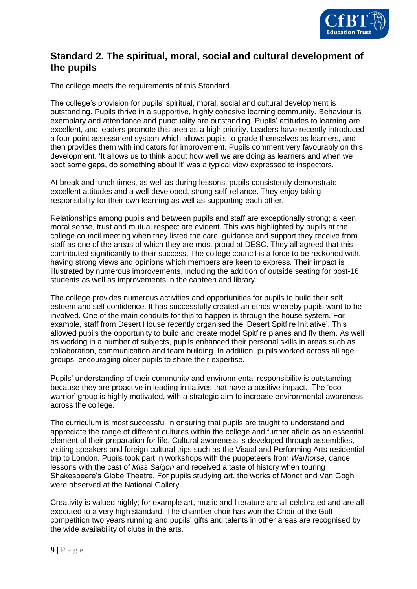

#### **Standard 2. The spiritual, moral, social and cultural development of the pupils**

The college meets the requirements of this Standard.

The college's provision for pupils' spiritual, moral, social and cultural development is outstanding. Pupils thrive in a supportive, highly cohesive learning community. Behaviour is exemplary and attendance and punctuality are outstanding. Pupils' attitudes to learning are excellent, and leaders promote this area as a high priority. Leaders have recently introduced a four-point assessment system which allows pupils to grade themselves as learners, and then provides them with indicators for improvement. Pupils comment very favourably on this development. 'It allows us to think about how well we are doing as learners and when we spot some gaps, do something about it' was a typical view expressed to inspectors.

At break and lunch times, as well as during lessons, pupils consistently demonstrate excellent attitudes and a well-developed, strong self-reliance. They enjoy taking responsibility for their own learning as well as supporting each other.

Relationships among pupils and between pupils and staff are exceptionally strong; a keen moral sense, trust and mutual respect are evident. This was highlighted by pupils at the college council meeting when they listed the care, guidance and support they receive from staff as one of the areas of which they are most proud at DESC. They all agreed that this contributed significantly to their success. The college council is a force to be reckoned with, having strong views and opinions which members are keen to express. Their impact is illustrated by numerous improvements, including the addition of outside seating for post-16 students as well as improvements in the canteen and library.

The college provides numerous activities and opportunities for pupils to build their self esteem and self confidence. It has successfully created an ethos whereby pupils want to be involved. One of the main conduits for this to happen is through the house system. For example, staff from Desert House recently organised the 'Desert Spitfire Initiative'. This allowed pupils the opportunity to build and create model Spitfire planes and fly them. As well as working in a number of subjects, pupils enhanced their personal skills in areas such as collaboration, communication and team building. In addition, pupils worked across all age groups, encouraging older pupils to share their expertise.

Pupils' understanding of their community and environmental responsibility is outstanding because they are proactive in leading initiatives that have a positive impact. The 'ecowarrior' group is highly motivated, with a strategic aim to increase environmental awareness across the college.

The curriculum is most successful in ensuring that pupils are taught to understand and appreciate the range of different cultures within the college and further afield as an essential element of their preparation for life. Cultural awareness is developed through assemblies, visiting speakers and foreign cultural trips such as the Visual and Performing Arts residential trip to London. Pupils took part in workshops with the puppeteers from *Warhorse*, dance lessons with the cast of *Miss Saigon* and received a taste of history when touring Shakespeare's Globe Theatre. For pupils studying art, the works of Monet and Van Gogh were observed at the National Gallery.

Creativity is valued highly; for example art, music and literature are all celebrated and are all executed to a very high standard. The chamber choir has won the Choir of the Gulf competition two years running and pupils' gifts and talents in other areas are recognised by the wide availability of clubs in the arts.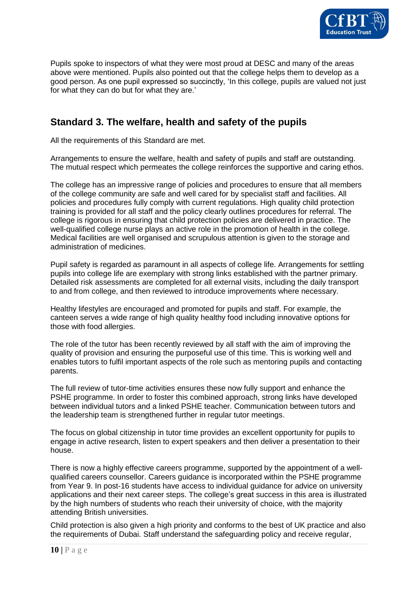

Pupils spoke to inspectors of what they were most proud at DESC and many of the areas above were mentioned. Pupils also pointed out that the college helps them to develop as a good person. As one pupil expressed so succinctly, 'In this college, pupils are valued not just for what they can do but for what they are.'

### **Standard 3. The welfare, health and safety of the pupils**

All the requirements of this Standard are met.

Arrangements to ensure the welfare, health and safety of pupils and staff are outstanding. The mutual respect which permeates the college reinforces the supportive and caring ethos.

The college has an impressive range of policies and procedures to ensure that all members of the college community are safe and well cared for by specialist staff and facilities. All policies and procedures fully comply with current regulations. High quality child protection training is provided for all staff and the policy clearly outlines procedures for referral. The college is rigorous in ensuring that child protection policies are delivered in practice. The well-qualified college nurse plays an active role in the promotion of health in the college. Medical facilities are well organised and scrupulous attention is given to the storage and administration of medicines.

Pupil safety is regarded as paramount in all aspects of college life. Arrangements for settling pupils into college life are exemplary with strong links established with the partner primary. Detailed risk assessments are completed for all external visits, including the daily transport to and from college, and then reviewed to introduce improvements where necessary.

Healthy lifestyles are encouraged and promoted for pupils and staff. For example, the canteen serves a wide range of high quality healthy food including innovative options for those with food allergies.

The role of the tutor has been recently reviewed by all staff with the aim of improving the quality of provision and ensuring the purposeful use of this time. This is working well and enables tutors to fulfil important aspects of the role such as mentoring pupils and contacting parents.

The full review of tutor-time activities ensures these now fully support and enhance the PSHE programme. In order to foster this combined approach, strong links have developed between individual tutors and a linked PSHE teacher. Communication between tutors and the leadership team is strengthened further in regular tutor meetings.

The focus on global citizenship in tutor time provides an excellent opportunity for pupils to engage in active research, listen to expert speakers and then deliver a presentation to their house.

There is now a highly effective careers programme, supported by the appointment of a wellqualified careers counsellor. Careers guidance is incorporated within the PSHE programme from Year 9. In post-16 students have access to individual guidance for advice on university applications and their next career steps. The college's great success in this area is illustrated by the high numbers of students who reach their university of choice, with the majority attending British universities.

Child protection is also given a high priority and conforms to the best of UK practice and also the requirements of Dubai. Staff understand the safeguarding policy and receive regular,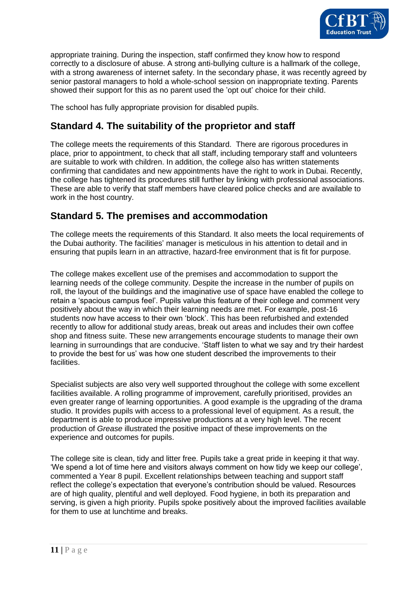

appropriate training. During the inspection, staff confirmed they know how to respond correctly to a disclosure of abuse. A strong anti-bullying culture is a hallmark of the college, with a strong awareness of internet safety. In the secondary phase, it was recently agreed by senior pastoral managers to hold a whole-school session on inappropriate texting. Parents showed their support for this as no parent used the 'opt out' choice for their child.

The school has fully appropriate provision for disabled pupils.

# **Standard 4. The suitability of the proprietor and staff**

The college meets the requirements of this Standard. There are rigorous procedures in place, prior to appointment, to check that all staff, including temporary staff and volunteers are suitable to work with children. In addition, the college also has written statements confirming that candidates and new appointments have the right to work in Dubai. Recently, the college has tightened its procedures still further by linking with professional associations. These are able to verify that staff members have cleared police checks and are available to work in the host country.

### **Standard 5. The premises and accommodation**

The college meets the requirements of this Standard. It also meets the local requirements of the Dubai authority. The facilities' manager is meticulous in his attention to detail and in ensuring that pupils learn in an attractive, hazard-free environment that is fit for purpose.

The college makes excellent use of the premises and accommodation to support the learning needs of the college community. Despite the increase in the number of pupils on roll, the layout of the buildings and the imaginative use of space have enabled the college to retain a 'spacious campus feel'. Pupils value this feature of their college and comment very positively about the way in which their learning needs are met. For example, post-16 students now have access to their own 'block'. This has been refurbished and extended recently to allow for additional study areas, break out areas and includes their own coffee shop and fitness suite. These new arrangements encourage students to manage their own learning in surroundings that are conducive. 'Staff listen to what we say and try their hardest to provide the best for us' was how one student described the improvements to their facilities.

Specialist subjects are also very well supported throughout the college with some excellent facilities available. A rolling programme of improvement, carefully prioritised, provides an even greater range of learning opportunities. A good example is the upgrading of the drama studio. It provides pupils with access to a professional level of equipment. As a result, the department is able to produce impressive productions at a very high level. The recent production of *Grease* illustrated the positive impact of these improvements on the experience and outcomes for pupils.

The college site is clean, tidy and litter free. Pupils take a great pride in keeping it that way. 'We spend a lot of time here and visitors always comment on how tidy we keep our college', commented a Year 8 pupil. Excellent relationships between teaching and support staff reflect the college's expectation that everyone's contribution should be valued. Resources are of high quality, plentiful and well deployed. Food hygiene, in both its preparation and serving, is given a high priority. Pupils spoke positively about the improved facilities available for them to use at lunchtime and breaks.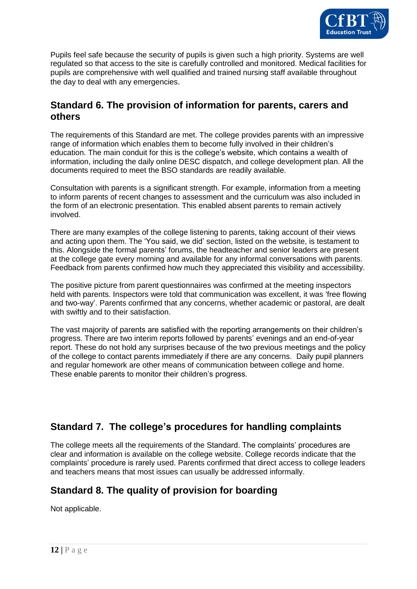

Pupils feel safe because the security of pupils is given such a high priority. Systems are well regulated so that access to the site is carefully controlled and monitored. Medical facilities for pupils are comprehensive with well qualified and trained nursing staff available throughout the day to deal with any emergencies.

#### **Standard 6. The provision of information for parents, carers and others**

The requirements of this Standard are met. The college provides parents with an impressive range of information which enables them to become fully involved in their children's education. The main conduit for this is the college's website, which contains a wealth of information, including the daily online DESC dispatch, and college development plan. All the documents required to meet the BSO standards are readily available.

Consultation with parents is a significant strength. For example, information from a meeting to inform parents of recent changes to assessment and the curriculum was also included in the form of an electronic presentation. This enabled absent parents to remain actively involved.

There are many examples of the college listening to parents, taking account of their views and acting upon them. The 'You said, we did' section, listed on the website, is testament to this. Alongside the formal parents' forums, the headteacher and senior leaders are present at the college gate every morning and available for any informal conversations with parents. Feedback from parents confirmed how much they appreciated this visibility and accessibility.

The positive picture from parent questionnaires was confirmed at the meeting inspectors held with parents. Inspectors were told that communication was excellent, it was 'free flowing and two-way'. Parents confirmed that any concerns, whether academic or pastoral, are dealt with swiftly and to their satisfaction.

The vast majority of parents are satisfied with the reporting arrangements on their children's progress. There are two interim reports followed by parents' evenings and an end-of-year report. These do not hold any surprises because of the two previous meetings and the policy of the college to contact parents immediately if there are any concerns. Daily pupil planners and regular homework are other means of communication between college and home. These enable parents to monitor their children's progress.

### **Standard 7. The college's procedures for handling complaints**

The college meets all the requirements of the Standard. The complaints' procedures are clear and information is available on the college website. College records indicate that the complaints' procedure is rarely used. Parents confirmed that direct access to college leaders and teachers means that most issues can usually be addressed informally.

## **Standard 8. The quality of provision for boarding**

Not applicable.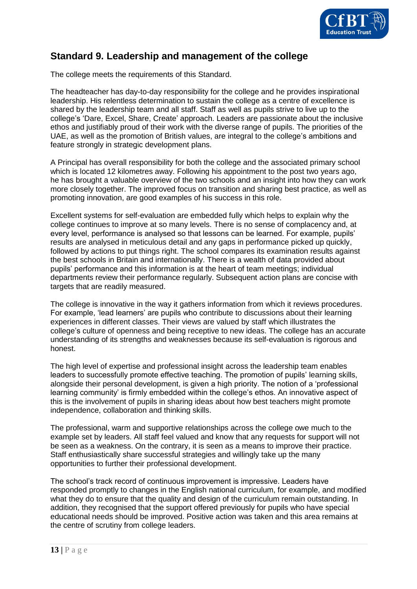

#### **Standard 9. Leadership and management of the college**

The college meets the requirements of this Standard.

The headteacher has day-to-day responsibility for the college and he provides inspirational leadership. His relentless determination to sustain the college as a centre of excellence is shared by the leadership team and all staff. Staff as well as pupils strive to live up to the college's 'Dare, Excel, Share, Create' approach. Leaders are passionate about the inclusive ethos and justifiably proud of their work with the diverse range of pupils. The priorities of the UAE, as well as the promotion of British values, are integral to the college's ambitions and feature strongly in strategic development plans.

A Principal has overall responsibility for both the college and the associated primary school which is located 12 kilometres away. Following his appointment to the post two years ago, he has brought a valuable overview of the two schools and an insight into how they can work more closely together. The improved focus on transition and sharing best practice, as well as promoting innovation, are good examples of his success in this role.

Excellent systems for self-evaluation are embedded fully which helps to explain why the college continues to improve at so many levels. There is no sense of complacency and, at every level, performance is analysed so that lessons can be learned. For example, pupils' results are analysed in meticulous detail and any gaps in performance picked up quickly, followed by actions to put things right. The school compares its examination results against the best schools in Britain and internationally. There is a wealth of data provided about pupils' performance and this information is at the heart of team meetings; individual departments review their performance regularly. Subsequent action plans are concise with targets that are readily measured.

The college is innovative in the way it gathers information from which it reviews procedures. For example, 'lead learners' are pupils who contribute to discussions about their learning experiences in different classes. Their views are valued by staff which illustrates the college's culture of openness and being receptive to new ideas. The college has an accurate understanding of its strengths and weaknesses because its self-evaluation is rigorous and honest.

The high level of expertise and professional insight across the leadership team enables leaders to successfully promote effective teaching. The promotion of pupils' learning skills, alongside their personal development, is given a high priority. The notion of a 'professional learning community' is firmly embedded within the college's ethos. An innovative aspect of this is the involvement of pupils in sharing ideas about how best teachers might promote independence, collaboration and thinking skills.

The professional, warm and supportive relationships across the college owe much to the example set by leaders. All staff feel valued and know that any requests for support will not be seen as a weakness. On the contrary, it is seen as a means to improve their practice. Staff enthusiastically share successful strategies and willingly take up the many opportunities to further their professional development.

The school's track record of continuous improvement is impressive. Leaders have responded promptly to changes in the English national curriculum, for example, and modified what they do to ensure that the quality and design of the curriculum remain outstanding. In addition, they recognised that the support offered previously for pupils who have special educational needs should be improved. Positive action was taken and this area remains at the centre of scrutiny from college leaders.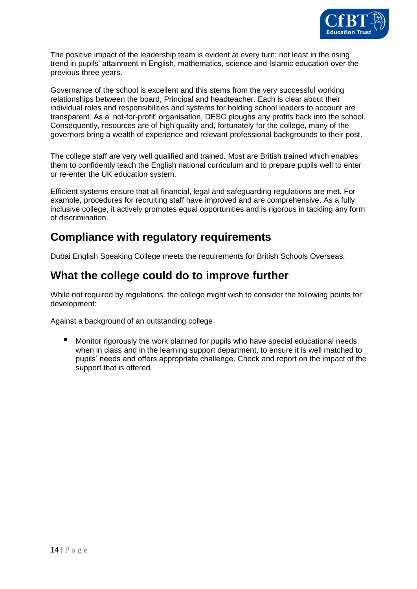

The positive impact of the leadership team is evident at every turn; not least in the rising trend in pupils' attainment in English, mathematics, science and Islamic education over the previous three years.

Governance of the school is excellent and this stems from the very successful working relationships between the board, Principal and headteacher. Each is clear about their individual roles and responsibilities and systems for holding school leaders to account are transparent. As a 'not-for-profit' organisation, DESC ploughs any profits back into the school. Consequently, resources are of high quality and, fortunately for the college, many of the governors bring a wealth of experience and relevant professional backgrounds to their post.

The college staff are very well qualified and trained. Most are British trained which enables them to confidently teach the English national curriculum and to prepare pupils well to enter or re-enter the UK education system.

Efficient systems ensure that all financial, legal and safeguarding regulations are met. For example, procedures for recruiting staff have improved and are comprehensive. As a fully inclusive college, it actively promotes equal opportunities and is rigorous in tackling any form of discrimination.

# **Compliance with regulatory requirements**

Dubai English Speaking College meets the requirements for British Schools Overseas.

# **What the college could do to improve further**

While not required by regulations, the college might wish to consider the following points for development:

Against a background of an outstanding college

 Monitor rigorously the work planned for pupils who have special educational needs, when in class and in the learning support department, to ensure it is well matched to pupils' needs and offers appropriate challenge. Check and report on the impact of the support that is offered.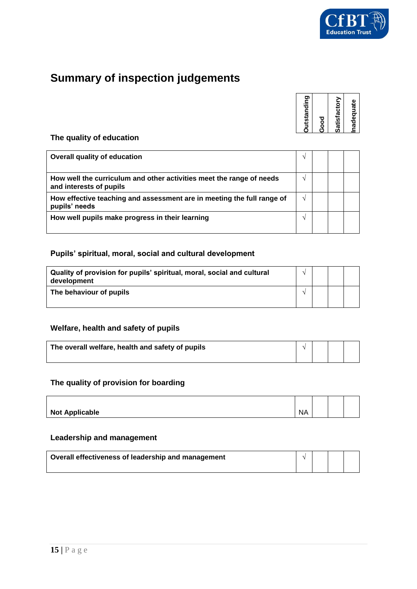

# **Summary of inspection judgements**

| Satisfactory<br>Good | <b>Dutstanding</b> |  |
|----------------------|--------------------|--|
|                      |                    |  |
|                      |                    |  |

#### **The quality of education**

| <b>Overall quality of education</b>                                                             |               |  |  |
|-------------------------------------------------------------------------------------------------|---------------|--|--|
| How well the curriculum and other activities meet the range of needs<br>and interests of pupils |               |  |  |
| How effective teaching and assessment are in meeting the full range of<br>pupils' needs         | $\mathcal{N}$ |  |  |
| How well pupils make progress in their learning                                                 |               |  |  |

#### **Pupils' spiritual, moral, social and cultural development**

| Quality of provision for pupils' spiritual, moral, social and cultural<br>development |  |  |
|---------------------------------------------------------------------------------------|--|--|
| The behaviour of pupils                                                               |  |  |

#### **Welfare, health and safety of pupils**

| The overall welfare, health and safety of pupils |  |  |
|--------------------------------------------------|--|--|
|                                                  |  |  |

#### **The quality of provision for boarding**

| <b>Not Applicable</b> | <b>NA</b> |  |  |
|-----------------------|-----------|--|--|

#### **Leadership and management**

| Overall effectiveness of leadership and management |  |  |
|----------------------------------------------------|--|--|
|                                                    |  |  |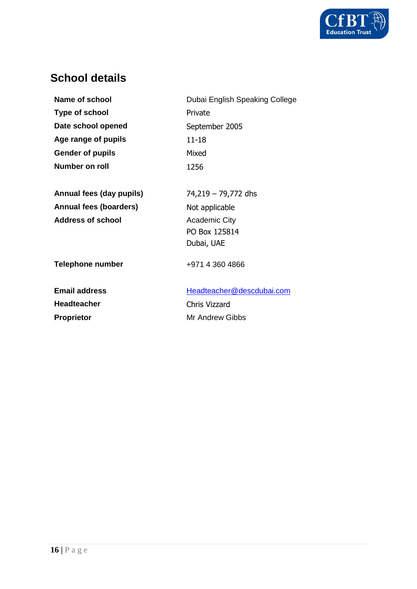

# **School details**

| Name of school                | Dubai English Speaking College |
|-------------------------------|--------------------------------|
| <b>Type of school</b>         | Private                        |
| Date school opened            | September 2005                 |
| Age range of pupils           | 11-18                          |
| <b>Gender of pupils</b>       | Mixed                          |
| Number on roll                | 1256                           |
|                               |                                |
| Annual fees (day pupils)      | 74,219 – 79,772 dhs            |
| <b>Annual fees (boarders)</b> | Not applicable                 |
| <b>Address of school</b>      | <b>Academic City</b>           |
|                               | PO Box 125814                  |
|                               | Dubai, UAE                     |
| <b>Telephone number</b>       | +971 4 360 4866                |
| <b>Email address</b>          | Headteacher@descdubai.com      |
| <b>Headteacher</b>            | Chris Vizzard                  |
| <b>Proprietor</b>             | Mr Andrew Gibbs                |
|                               |                                |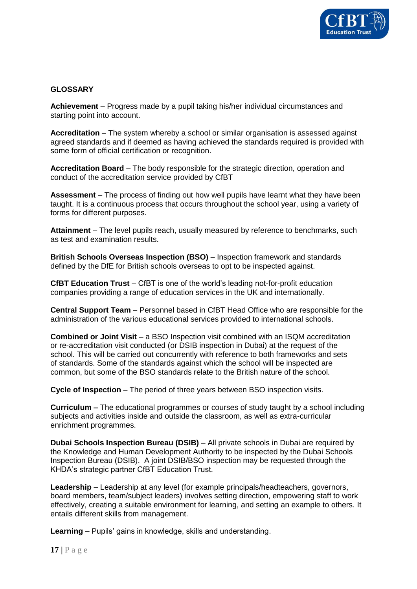

#### **GLOSSARY**

**Achievement** – Progress made by a pupil taking his/her individual circumstances and starting point into account.

**Accreditation** – The system whereby a school or similar organisation is assessed against agreed standards and if deemed as having achieved the standards required is provided with some form of official certification or recognition.

**Accreditation Board** – The body responsible for the strategic direction, operation and conduct of the accreditation service provided by CfBT

**Assessment** – The process of finding out how well pupils have learnt what they have been taught. It is a continuous process that occurs throughout the school year, using a variety of forms for different purposes.

**Attainment** – The level pupils reach, usually measured by reference to benchmarks, such as test and examination results.

**British Schools Overseas Inspection (BSO)** – Inspection framework and standards defined by the DfE for British schools overseas to opt to be inspected against.

**CfBT Education Trust** – CfBT is one of the world's leading not-for-profit education companies providing a range of education services in the UK and internationally.

**Central Support Team** – Personnel based in CfBT Head Office who are responsible for the administration of the various educational services provided to international schools.

**Combined or Joint Visit** – a BSO Inspection visit combined with an ISQM accreditation or re-accreditation visit conducted (or DSIB inspection in Dubai) at the request of the school. This will be carried out concurrently with reference to both frameworks and sets of standards. Some of the standards against which the school will be inspected are common, but some of the BSO standards relate to the British nature of the school.

**Cycle of Inspection – The period of three years between BSO inspection visits.** 

**Curriculum –** The educational programmes or courses of study taught by a school including subjects and activities inside and outside the classroom, as well as extra-curricular enrichment programmes.

**Dubai Schools Inspection Bureau (DSIB)** – All private schools in Dubai are required by the Knowledge and Human Development Authority to be inspected by the Dubai Schools Inspection Bureau (DSIB). A joint DSIB/BSO inspection may be requested through the KHDA's strategic partner CfBT Education Trust.

**Leadership** – Leadership at any level (for example principals/headteachers, governors, board members, team/subject leaders) involves setting direction, empowering staff to work effectively, creating a suitable environment for learning, and setting an example to others. It entails different skills from management.

**Learning** – Pupils' gains in knowledge, skills and understanding.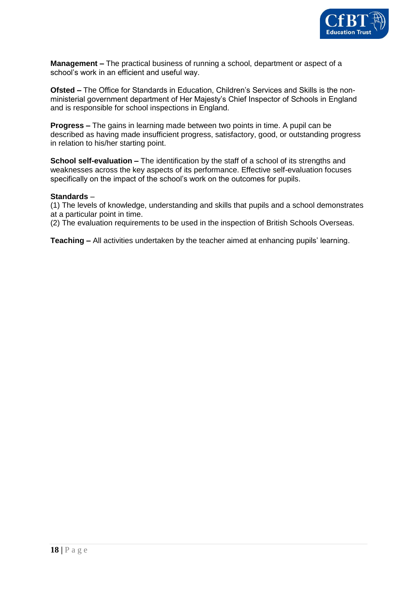

**Management –** The practical business of running a school, department or aspect of a school's work in an efficient and useful way.

**Ofsted –** The Office for Standards in Education, Children's Services and Skills is the nonministerial government department of Her Majesty's Chief Inspector of Schools in England and is responsible for school inspections in England.

**Progress –** The gains in learning made between two points in time. A pupil can be described as having made insufficient progress, satisfactory, good, or outstanding progress in relation to his/her starting point.

**School self-evaluation –** The identification by the staff of a school of its strengths and weaknesses across the key aspects of its performance. Effective self-evaluation focuses specifically on the impact of the school's work on the outcomes for pupils.

#### **Standards** –

(1) The levels of knowledge, understanding and skills that pupils and a school demonstrates at a particular point in time.

(2) The evaluation requirements to be used in the inspection of British Schools Overseas.

**Teaching –** All activities undertaken by the teacher aimed at enhancing pupils' learning.